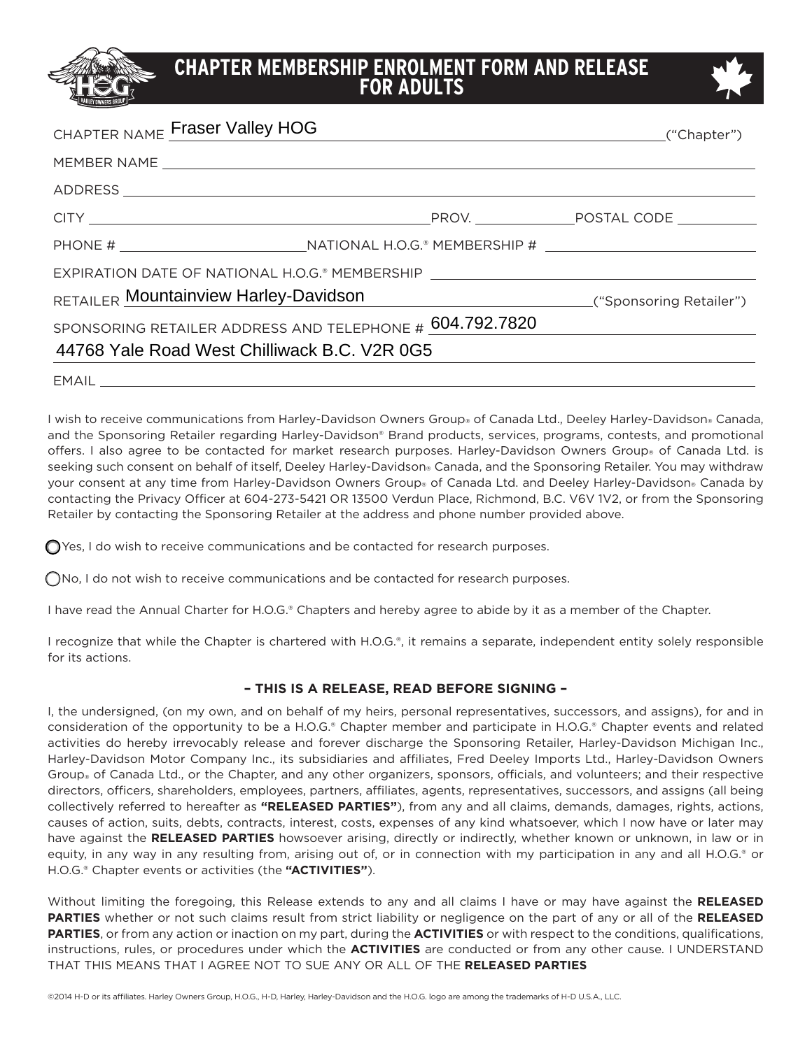## **CHAPTER MEMBERSHIP ENROLMENT FORM AND RELEASE FOR ADULTS**



| CHAPTER NAME Fraser Valley HOG                                                    |                                                                                                                 |  |
|-----------------------------------------------------------------------------------|-----------------------------------------------------------------------------------------------------------------|--|
|                                                                                   |                                                                                                                 |  |
|                                                                                   |                                                                                                                 |  |
|                                                                                   |                                                                                                                 |  |
|                                                                                   |                                                                                                                 |  |
|                                                                                   | EXPIRATION DATE OF NATIONAL H.O.G.® MEMBERSHIP LAND DESCRIPTION OF THE RESERVE TO A LAND OF THE RESERVE TO A LA |  |
| RETAILER Mountainview Harley-Davidson Manuel All Archives ("Sponsoring Retailer") |                                                                                                                 |  |
|                                                                                   | SPONSORING RETAILER ADDRESS AND TELEPHONE # 604.792.7820                                                        |  |
| 44768 Yale Road West Chilliwack B.C. V2R 0G5                                      |                                                                                                                 |  |
|                                                                                   |                                                                                                                 |  |

EMAIL

I wish to receive communications from Harley-Davidson Owners Group® of Canada Ltd., Deeley Harley-Davidson® Canada, and the Sponsoring Retailer regarding Harley-Davidson® Brand products, services, programs, contests, and promotional offers. I also agree to be contacted for market research purposes. Harley-Davidson Owners Group® of Canada Ltd. is seeking such consent on behalf of itself, Deeley Harley-Davidson® Canada, and the Sponsoring Retailer. You may withdraw your consent at any time from Harley-Davidson Owners Group® of Canada Ltd. and Deeley Harley-Davidson® Canada by contacting the Privacy Officer at 604-273-5421 OR 13500 Verdun Place, Richmond, B.C. V6V 1V2, or from the Sponsoring Retailer by contacting the Sponsoring Retailer at the address and phone number provided above.

 $\bigcirc$  Yes, I do wish to receive communications and be contacted for research purposes.

 $\bigcap$ No, I do not wish to receive communications and be contacted for research purposes.

I have read the Annual Charter for H.O.G.® Chapters and hereby agree to abide by it as a member of the Chapter.

I recognize that while the Chapter is chartered with H.O.G.®, it remains a separate, independent entity solely responsible for its actions.

## **– THIS IS A RELEASE, READ BEFORE SIGNING –**

I, the undersigned, (on my own, and on behalf of my heirs, personal representatives, successors, and assigns), for and in consideration of the opportunity to be a H.O.G.® Chapter member and participate in H.O.G.® Chapter events and related activities do hereby irrevocably release and forever discharge the Sponsoring Retailer, Harley-Davidson Michigan Inc., Harley-Davidson Motor Company Inc., its subsidiaries and affiliates, Fred Deeley Imports Ltd., Harley-Davidson Owners Group® of Canada Ltd., or the Chapter, and any other organizers, sponsors, officials, and volunteers; and their respective directors, officers, shareholders, employees, partners, affiliates, agents, representatives, successors, and assigns (all being collectively referred to hereafter as **"RELEASED PARTIES"**), from any and all claims, demands, damages, rights, actions, causes of action, suits, debts, contracts, interest, costs, expenses of any kind whatsoever, which I now have or later may have against the **RELEASED PARTIES** howsoever arising, directly or indirectly, whether known or unknown, in law or in equity, in any way in any resulting from, arising out of, or in connection with my participation in any and all H.O.G.® or H.O.G.® Chapter events or activities (the **"ACTIVITIES"**).

Without limiting the foregoing, this Release extends to any and all claims I have or may have against the **RELEASED PARTIES** whether or not such claims result from strict liability or negligence on the part of any or all of the **RELEASED PARTIES**, or from any action or inaction on my part, during the **ACTIVITIES** or with respect to the conditions, qualifications, instructions, rules, or procedures under which the **ACTIVITIES** are conducted or from any other cause. I UNDERSTAND THAT THIS MEANS THAT I AGREE NOT TO SUE ANY OR ALL OF THE **RELEASED PARTIES**